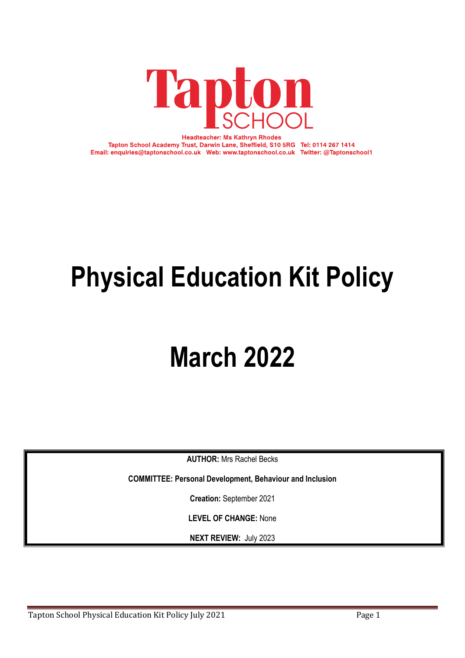

**Headteacher: Ms Kathryn Rhodes** Tapton School Academy Trust, Darwin Lane, Sheffield, S10 5RG Tel: 0114 267 1414 Email: enquiries@taptonschool.co.uk Web: www.taptonschool.co.uk Twitter: @Taptonschool1

# **Physical Education Kit Policy**

## **March 2022**

**AUTHOR:** Mrs Rachel Becks

**COMMITTEE: Personal Development, Behaviour and Inclusion**

**Creation:** September 2021

**LEVEL OF CHANGE:** None

**NEXT REVIEW:** July 2023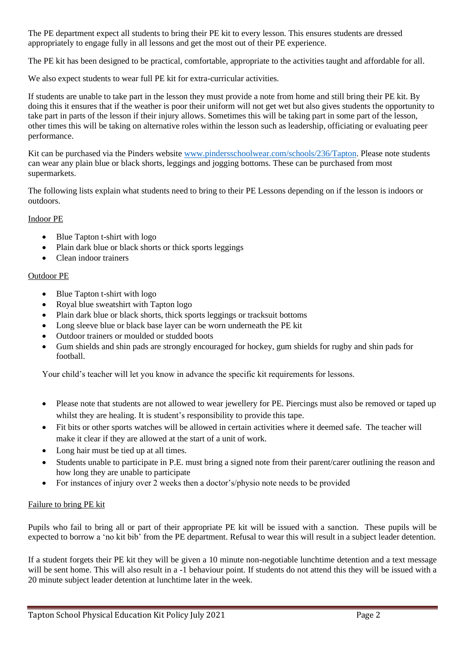The PE department expect all students to bring their PE kit to every lesson. This ensures students are dressed appropriately to engage fully in all lessons and get the most out of their PE experience.

The PE kit has been designed to be practical, comfortable, appropriate to the activities taught and affordable for all.

We also expect students to wear full PE kit for extra-curricular activities.

If students are unable to take part in the lesson they must provide a note from home and still bring their PE kit. By doing this it ensures that if the weather is poor their uniform will not get wet but also gives students the opportunity to take part in parts of the lesson if their injury allows. Sometimes this will be taking part in some part of the lesson, other times this will be taking on alternative roles within the lesson such as leadership, officiating or evaluating peer performance.

Kit can be purchased via the Pinders website [www.pindersschoolwear.com/schools/236/Tapton.](http://www.pindersschoolwear.com/schools/236/Tapton) Please note students can wear any plain blue or black shorts, leggings and jogging bottoms. These can be purchased from most supermarkets.

The following lists explain what students need to bring to their PE Lessons depending on if the lesson is indoors or outdoors.

### Indoor PE

- Blue Tapton t-shirt with logo
- Plain dark blue or black shorts or thick sports leggings
- Clean indoor trainers

### Outdoor PE

- Blue Tapton t-shirt with logo
- Royal blue sweatshirt with Tapton logo
- Plain dark blue or black shorts, thick sports leggings or tracksuit bottoms
- Long sleeve blue or black base layer can be worn underneath the PE kit
- Outdoor trainers or moulded or studded boots
- Gum shields and shin pads are strongly encouraged for hockey, gum shields for rugby and shin pads for football.

Your child's teacher will let you know in advance the specific kit requirements for lessons.

- Please note that students are not allowed to wear jewellery for PE. Piercings must also be removed or taped up whilst they are healing. It is student's responsibility to provide this tape.
- Fit bits or other sports watches will be allowed in certain activities where it deemed safe. The teacher will make it clear if they are allowed at the start of a unit of work.
- Long hair must be tied up at all times.
- Students unable to participate in P.E. must bring a signed note from their parent/carer outlining the reason and how long they are unable to participate
- For instances of injury over 2 weeks then a doctor's/physio note needs to be provided

### Failure to bring PE kit

Pupils who fail to bring all or part of their appropriate PE kit will be issued with a sanction. These pupils will be expected to borrow a 'no kit bib' from the PE department. Refusal to wear this will result in a subject leader detention.

If a student forgets their PE kit they will be given a 10 minute non-negotiable lunchtime detention and a text message will be sent home. This will also result in a -1 behaviour point. If students do not attend this they will be issued with a 20 minute subject leader detention at lunchtime later in the week.